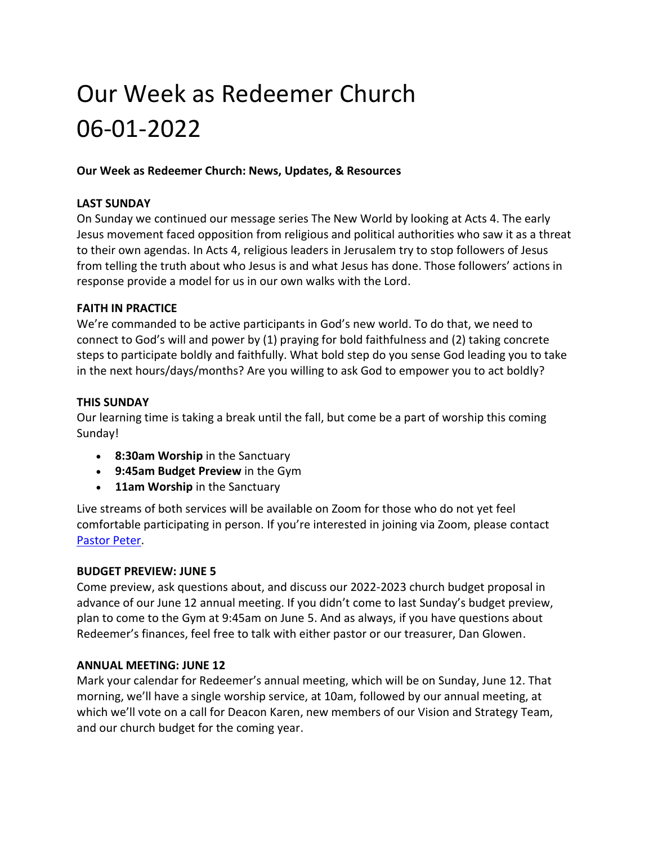# Our Week as Redeemer Church 06-01-2022

# **Our Week as Redeemer Church: News, Updates, & Resources**

#### **LAST SUNDAY**

On Sunday we continued our message series The New World by looking at Acts 4. The early Jesus movement faced opposition from religious and political authorities who saw it as a threat to their own agendas. In Acts 4, religious leaders in Jerusalem try to stop followers of Jesus from telling the truth about who Jesus is and what Jesus has done. Those followers' actions in response provide a model for us in our own walks with the Lord.

# **FAITH IN PRACTICE**

We're commanded to be active participants in God's new world. To do that, we need to connect to God's will and power by (1) praying for bold faithfulness and (2) taking concrete steps to participate boldly and faithfully. What bold step do you sense God leading you to take in the next hours/days/months? Are you willing to ask God to empower you to act boldly?

# **THIS SUNDAY**

Our learning time is taking a break until the fall, but come be a part of worship this coming Sunday!

- **8:30am Worship** in the Sanctuary
- **9:45am Budget Preview** in the Gym
- **11am Worship** in the Sanctuary

Live streams of both services will be available on Zoom for those who do not yet feel comfortable participating in person. If you're interested in joining via Zoom, please contact [Pastor Peter.](mailto:peter@redeemerparkridge.com)

#### **BUDGET PREVIEW: JUNE 5**

Come preview, ask questions about, and discuss our 2022-2023 church budget proposal in advance of our June 12 annual meeting. If you didn't come to last Sunday's budget preview, plan to come to the Gym at 9:45am on June 5. And as always, if you have questions about Redeemer's finances, feel free to talk with either pastor or our treasurer, Dan Glowen.

#### **ANNUAL MEETING: JUNE 12**

Mark your calendar for Redeemer's annual meeting, which will be on Sunday, June 12. That morning, we'll have a single worship service, at 10am, followed by our annual meeting, at which we'll vote on a call for Deacon Karen, new members of our Vision and Strategy Team, and our church budget for the coming year.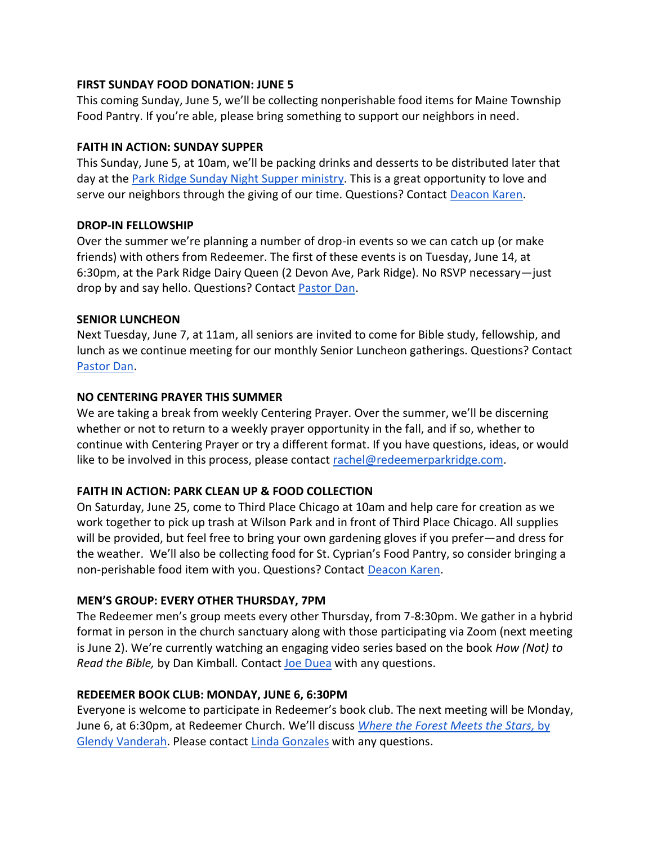#### **FIRST SUNDAY FOOD DONATION: JUNE 5**

This coming Sunday, June 5, we'll be collecting nonperishable food items for Maine Township Food Pantry. If you're able, please bring something to support our neighbors in need.

# **FAITH IN ACTION: SUNDAY SUPPER**

This Sunday, June 5, at 10am, we'll be packing drinks and desserts to be distributed later that day at the [Park Ridge Sunday Night Supper ministry.](https://www.sundaysupperspr.org/) This is a great opportunity to love and serve our neighbors through the giving of our time. Questions? Contact [Deacon Karen.](mailto:karen@redeemerparkridge.com)

# **DROP-IN FELLOWSHIP**

Over the summer we're planning a number of drop-in events so we can catch up (or make friends) with others from Redeemer. The first of these events is on Tuesday, June 14, at 6:30pm, at the Park Ridge Dairy Queen (2 Devon Ave, Park Ridge). No RSVP necessary—just drop by and say hello. Questions? Contact [Pastor Dan.](mailto:dan@redeemerparkridge.com)

# **SENIOR LUNCHEON**

Next Tuesday, June 7, at 11am, all seniors are invited to come for Bible study, fellowship, and lunch as we continue meeting for our monthly Senior Luncheon gatherings. Questions? Contact [Pastor Dan.](mailto:dan@redeemerparkridge.com)

# **NO CENTERING PRAYER THIS SUMMER**

We are taking a break from weekly Centering Prayer. Over the summer, we'll be discerning whether or not to return to a weekly prayer opportunity in the fall, and if so, whether to continue with Centering Prayer or try a different format. If you have questions, ideas, or would like to be involved in this process, please contact [rachel@redeemerparkridge.com.](mailto:rachel@redeemerparkridge.com)

# **FAITH IN ACTION: PARK CLEAN UP & FOOD COLLECTION**

On Saturday, June 25, come to Third Place Chicago at 10am and help care for creation as we work together to pick up trash at Wilson Park and in front of Third Place Chicago. All supplies will be provided, but feel free to bring your own gardening gloves if you prefer—and dress for the weather. We'll also be collecting food for St. Cyprian's Food Pantry, so consider bringing a non-perishable food item with you. Questions? Contact [Deacon Karen.](mailto:karen@redeemerparkridge.com)

# **MEN'S GROUP: EVERY OTHER THURSDAY, 7PM**

The Redeemer men's group meets every other Thursday, from 7-8:30pm. We gather in a hybrid format in person in the church sanctuary along with those participating via Zoom (next meeting is June 2). We're currently watching an engaging video series based on the book *How (Not) to Read the Bible,* by Dan Kimball*.* Contact [Joe Duea](mailto:duea1rep@sbcglobal.net) with any questions.

# **REDEEMER BOOK CLUB: MONDAY, JUNE 6, 6:30PM**

Everyone is welcome to participate in Redeemer's book club. The next meeting will be Monday, June 6, at 6:30pm, at Redeemer Church. We'll discuss *[Where the Forest Meets the Stars,](https://www.goodreads.com/book/show/40545956-where-the-forest-meets-the-stars?ref=nav_sb_ss_1_27)* by [Glendy Vanderah.](https://www.goodreads.com/book/show/40545956-where-the-forest-meets-the-stars?ref=nav_sb_ss_1_27) Please contact [Linda Gonzales](mailto:cpd5137@yahoo.com) with any questions.